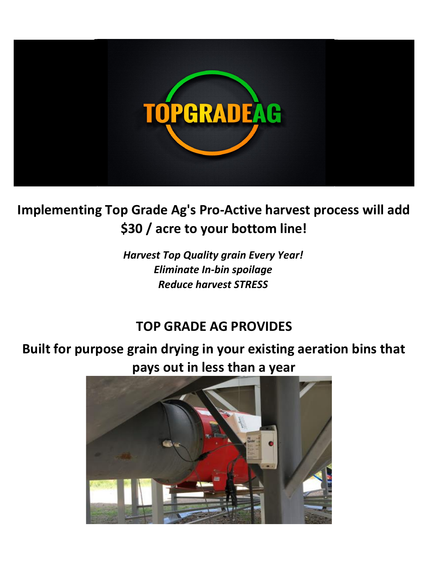

# **Implementing Top Grade Ag's Pro-Active harvest process will add \$30 / acre to your bottom line!**

*Harvest Top Quality grain Every Year! Eliminate In-bin spoilage Reduce harvest STRESS*

## **TOP GRADE AG PROVIDES**

**Built for purpose grain drying in your existing aeration bins that pays out in less than a year**

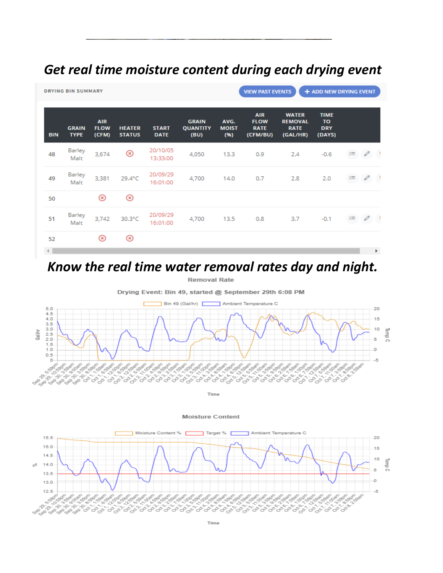### *Get real time moisture content during each drying event*

| <b>DRYING BIN SUMMARY</b>     |                             |                                    |                                |                             |                                         |                              | <b>VIEW PAST EVENTS</b><br>+ ADD NEW DRYING EVENT    |                                                           |                                           |          |               |    |  |
|-------------------------------|-----------------------------|------------------------------------|--------------------------------|-----------------------------|-----------------------------------------|------------------------------|------------------------------------------------------|-----------------------------------------------------------|-------------------------------------------|----------|---------------|----|--|
| <b>BIN</b>                    | <b>GRAIN</b><br><b>TYPE</b> | <b>AIR</b><br><b>FLOW</b><br>(CFM) | <b>HEATER</b><br><b>STATUS</b> | <b>START</b><br><b>DATE</b> | <b>GRAIN</b><br><b>QUANTITY</b><br>(BU) | AVG.<br><b>MOIST</b><br>(96) | <b>AIR</b><br><b>FLOW</b><br><b>RATE</b><br>(CFM/BU) | <b>WATER</b><br><b>REMOVAL</b><br><b>RATE</b><br>(GAL/HR) | <b>TIME</b><br>TO<br><b>DRY</b><br>(DAYS) |          |               |    |  |
| 48                            | Barley<br>Malt              | 3,674                              | ⊗                              | 20/10/05<br>13:33:00        | 4,050                                   | 13.3                         | 0.9                                                  | 2.4                                                       | $-0.6$                                    | $\equiv$ | $\mathscr{O}$ |    |  |
| 49                            | Barley<br>Malt              | 3,381                              | 29.4°C                         | 20/09/29<br>16:01:00        | 4,700                                   | 14.0                         | 0.7                                                  | 2.8                                                       | 2.0                                       | Ξ        | $\mathscr{Q}$ |    |  |
| 50                            |                             | ⊛                                  | $^{\circledR}$                 |                             |                                         |                              |                                                      |                                                           |                                           |          |               |    |  |
| 51                            | Barley<br>Malt              | 3,742                              | 30.3°C                         | 20/09/29<br>16:01:00        | 4,700                                   | 13.5                         | 0.8                                                  | 3.7                                                       | $-0.1$                                    | E        | $\mathscr{O}$ |    |  |
| 52                            |                             | ⊗                                  | ⊗                              |                             |                                         |                              |                                                      |                                                           |                                           |          |               |    |  |
| $\left\vert \cdot\right\vert$ |                             |                                    |                                |                             |                                         |                              |                                                      |                                                           |                                           |          |               | k. |  |

### *Know the real time water removal rates day and night.*

Removal Rate

Drying Event: Bin 49, started @ September 29th 6:08 PM



Time

#### **Moisture Content**

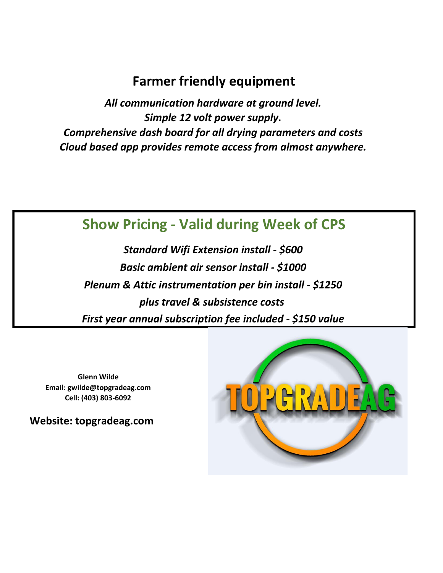### **Farmer friendly equipment**

*Simple 12 volt power supply. All communication hardware at ground level. Comprehensive dash board for all drying parameters and costs Cloud based app provides remote access from almost anywhere.*

## **Show Pricing - Valid during Week of CPS**

*Standard Wifi Extension install - \$600 Basic ambient air sensor install - \$1000 Plenum & Attic instrumentation per bin install - \$1250 plus travel & subsistence costs First year annual subscription fee included - \$150 value*

**Glenn Wilde Email: gwilde@topgradeag.com Cell: (403) 803-6092**

**Website: topgradeag.com**